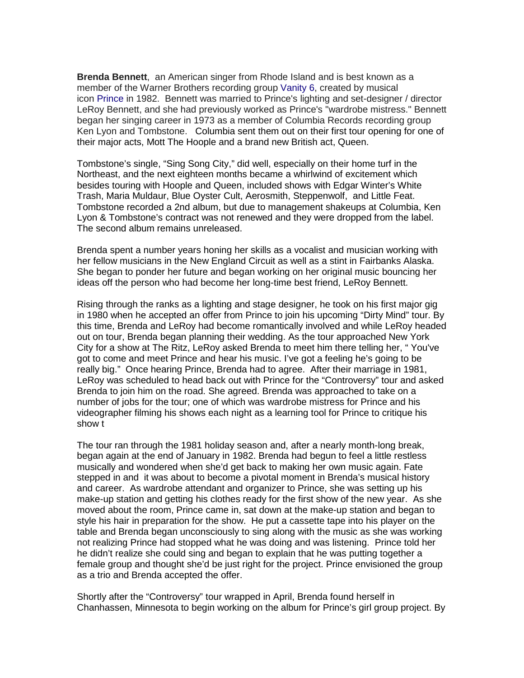**Brenda Bennett**, an American singer from Rhode Island and is best known as a member of the Warner Brothers recording group [Vanity 6,](https://en.wikipedia.org/wiki/Vanity_6) created by musical icon [Prince](https://en.wikipedia.org/wiki/Prince_(musician)) in 1982. Bennett was married to Prince's lighting and set-designer / director LeRoy Bennett, and she had previously worked as Prince's "wardrobe mistress." Bennett began her singing career in 1973 as a member of Columbia Records recording group Ken Lyon and Tombstone. Columbia sent them out on their first tour opening for one of their major acts, Mott The Hoople and a brand new British act, Queen.

Tombstone's single, "Sing Song City," did well, especially on their home turf in the Northeast, and the next eighteen months became a whirlwind of excitement which besides touring with Hoople and Queen, included shows with Edgar Winter's White Trash, Maria Muldaur, Blue Oyster Cult, Aerosmith, Steppenwolf, and Little Feat. Tombstone recorded a 2nd album, but due to management shakeups at Columbia, Ken Lyon & Tombstone's contract was not renewed and they were dropped from the label. The second album remains unreleased.

Brenda spent a number years honing her skills as a vocalist and musician working with her fellow musicians in the New England Circuit as well as a stint in Fairbanks Alaska. She began to ponder her future and began working on her original music bouncing her ideas off the person who had become her long-time best friend, LeRoy Bennett.

Rising through the ranks as a lighting and stage designer, he took on his first major gig in 1980 when he accepted an offer from Prince to join his upcoming "Dirty Mind" tour. By this time, Brenda and LeRoy had become romantically involved and while LeRoy headed out on tour, Brenda began planning their wedding. As the tour approached New York City for a show at The Ritz, LeRoy asked Brenda to meet him there telling her, " You've got to come and meet Prince and hear his music. I've got a feeling he's going to be really big." Once hearing Prince, Brenda had to agree. After their marriage in 1981, LeRoy was scheduled to head back out with Prince for the "Controversy" tour and asked Brenda to join him on the road. She agreed. Brenda was approached to take on a number of jobs for the tour; one of which was wardrobe mistress for Prince and his videographer filming his shows each night as a learning tool for Prince to critique his show t

The tour ran through the 1981 holiday season and, after a nearly month-long break, began again at the end of January in 1982. Brenda had begun to feel a little restless musically and wondered when she'd get back to making her own music again. Fate stepped in and it was about to become a pivotal moment in Brenda's musical history and career. As wardrobe attendant and organizer to Prince, she was setting up his make-up station and getting his clothes ready for the first show of the new year. As she moved about the room, Prince came in, sat down at the make-up station and began to style his hair in preparation for the show. He put a cassette tape into his player on the table and Brenda began unconsciously to sing along with the music as she was working not realizing Prince had stopped what he was doing and was listening. Prince told her he didn't realize she could sing and began to explain that he was putting together a female group and thought she'd be just right for the project. Prince envisioned the group as a trio and Brenda accepted the offer.

Shortly after the "Controversy" tour wrapped in April, Brenda found herself in Chanhassen, Minnesota to begin working on the album for Prince's girl group project. By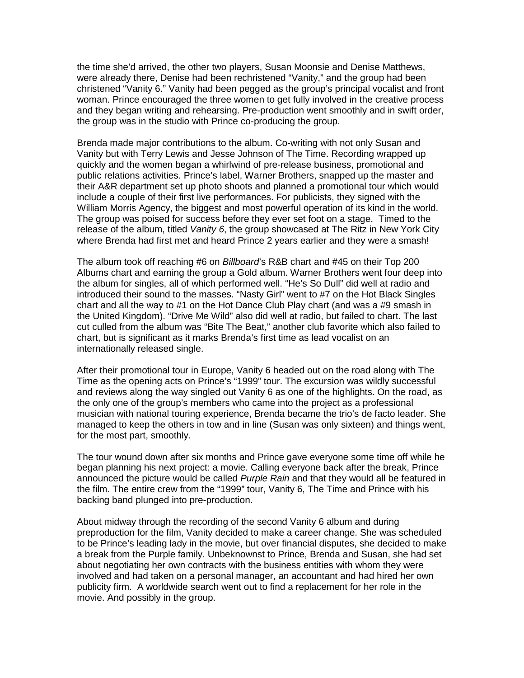the time she'd arrived, the other two players, Susan Moonsie and Denise Matthews, were already there, Denise had been rechristened "Vanity," and the group had been christened "Vanity 6." Vanity had been pegged as the group's principal vocalist and front woman. Prince encouraged the three women to get fully involved in the creative process and they began writing and rehearsing. Pre-production went smoothly and in swift order, the group was in the studio with Prince co-producing the group.

Brenda made major contributions to the album. Co-writing with not only Susan and Vanity but with Terry Lewis and Jesse Johnson of The Time. Recording wrapped up quickly and the women began a whirlwind of pre-release business, promotional and public relations activities. Prince's label, Warner Brothers, snapped up the master and their A&R department set up photo shoots and planned a promotional tour which would include a couple of their first live performances. For publicists, they signed with the William Morris Agency, the biggest and most powerful operation of its kind in the world. The group was poised for success before they ever set foot on a stage. Timed to the release of the album, titled *Vanity 6*, the group showcased at The Ritz in New York City where Brenda had first met and heard Prince 2 years earlier and they were a smash!

The album took off reaching #6 on *Billboard*'s R&B chart and #45 on their Top 200 Albums chart and earning the group a Gold album. Warner Brothers went four deep into the album for singles, all of which performed well. "He's So Dull" did well at radio and introduced their sound to the masses. "Nasty Girl" went to #7 on the Hot Black Singles chart and all the way to #1 on the Hot Dance Club Play chart (and was a #9 smash in the United Kingdom). "Drive Me Wild" also did well at radio, but failed to chart. The last cut culled from the album was "Bite The Beat," another club favorite which also failed to chart, but is significant as it marks Brenda's first time as lead vocalist on an internationally released single.

After their promotional tour in Europe, Vanity 6 headed out on the road along with The Time as the opening acts on Prince's "1999" tour. The excursion was wildly successful and reviews along the way singled out Vanity 6 as one of the highlights. On the road, as the only one of the group's members who came into the project as a professional musician with national touring experience, Brenda became the trio's de facto leader. She managed to keep the others in tow and in line (Susan was only sixteen) and things went, for the most part, smoothly.

The tour wound down after six months and Prince gave everyone some time off while he began planning his next project: a movie. Calling everyone back after the break, Prince announced the picture would be called *Purple Rain* and that they would all be featured in the film. The entire crew from the "1999" tour, Vanity 6, The Time and Prince with his backing band plunged into pre-production.

About midway through the recording of the second Vanity 6 album and during preproduction for the film, Vanity decided to make a career change. She was scheduled to be Prince's leading lady in the movie, but over financial disputes, she decided to make a break from the Purple family. Unbeknownst to Prince, Brenda and Susan, she had set about negotiating her own contracts with the business entities with whom they were involved and had taken on a personal manager, an accountant and had hired her own publicity firm. A worldwide search went out to find a replacement for her role in the movie. And possibly in the group.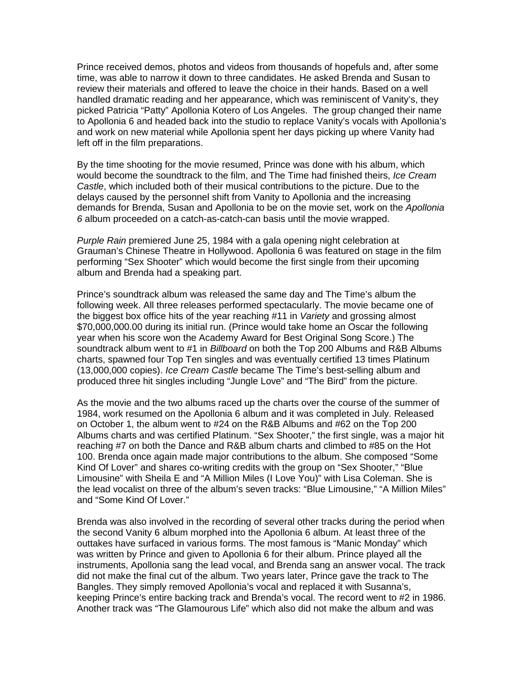Prince received demos, photos and videos from thousands of hopefuls and, after some time, was able to narrow it down to three candidates. He asked Brenda and Susan to review their materials and offered to leave the choice in their hands. Based on a well handled dramatic reading and her appearance, which was reminiscent of Vanity's, they picked Patricia "Patty" Apollonia Kotero of Los Angeles. The group changed their name to Apollonia 6 and headed back into the studio to replace Vanity's vocals with Apollonia's and work on new material while Apollonia spent her days picking up where Vanity had left off in the film preparations.

By the time shooting for the movie resumed, Prince was done with his album, which would become the soundtrack to the film, and The Time had finished theirs, *Ice Cream Castle*, which included both of their musical contributions to the picture. Due to the delays caused by the personnel shift from Vanity to Apollonia and the increasing demands for Brenda, Susan and Apollonia to be on the movie set, work on the *Apollonia 6* album proceeded on a catch-as-catch-can basis until the movie wrapped.

*Purple Rain* premiered June 25, 1984 with a gala opening night celebration at Grauman's Chinese Theatre in Hollywood. Apollonia 6 was featured on stage in the film performing "Sex Shooter" which would become the first single from their upcoming album and Brenda had a speaking part.

Prince's soundtrack album was released the same day and The Time's album the following week. All three releases performed spectacularly. The movie became one of the biggest box office hits of the year reaching #11 in *Variety* and grossing almost \$70,000,000.00 during its initial run. (Prince would take home an Oscar the following year when his score won the Academy Award for Best Original Song Score.) The soundtrack album went to #1 in *Billboard* on both the Top 200 Albums and R&B Albums charts, spawned four Top Ten singles and was eventually certified 13 times Platinum (13,000,000 copies). *Ice Cream Castle* became The Time's best-selling album and produced three hit singles including "Jungle Love" and "The Bird" from the picture.

As the movie and the two albums raced up the charts over the course of the summer of 1984, work resumed on the Apollonia 6 album and it was completed in July. Released on October 1, the album went to #24 on the R&B Albums and #62 on the Top 200 Albums charts and was certified Platinum. "Sex Shooter," the first single, was a major hit reaching #7 on both the Dance and R&B album charts and climbed to #85 on the Hot 100. Brenda once again made major contributions to the album. She composed "Some Kind Of Lover" and shares co-writing credits with the group on "Sex Shooter," "Blue Limousine" with Sheila E and "A Million Miles (I Love You)" with Lisa Coleman. She is the lead vocalist on three of the album's seven tracks: "Blue Limousine," "A Million Miles" and "Some Kind Of Lover."

Brenda was also involved in the recording of several other tracks during the period when the second Vanity 6 album morphed into the Apollonia 6 album. At least three of the outtakes have surfaced in various forms. The most famous is "Manic Monday" which was written by Prince and given to Apollonia 6 for their album. Prince played all the instruments, Apollonia sang the lead vocal, and Brenda sang an answer vocal. The track did not make the final cut of the album. Two years later, Prince gave the track to The Bangles. They simply removed Apollonia's vocal and replaced it with Susanna's, keeping Prince's entire backing track and Brenda's vocal. The record went to #2 in 1986. Another track was "The Glamourous Life" which also did not make the album and was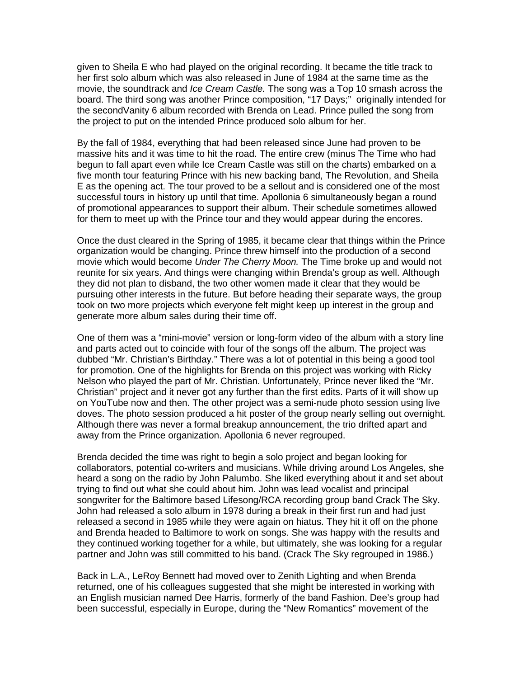given to Sheila E who had played on the original recording. It became the title track to her first solo album which was also released in June of 1984 at the same time as the movie, the soundtrack and *Ice Cream Castle.* The song was a Top 10 smash across the board. The third song was another Prince composition, "17 Days;" originally intended for the secondVanity 6 album recorded with Brenda on Lead. Prince pulled the song from the project to put on the intended Prince produced solo album for her.

By the fall of 1984, everything that had been released since June had proven to be massive hits and it was time to hit the road. The entire crew (minus The Time who had begun to fall apart even while Ice Cream Castle was still on the charts) embarked on a five month tour featuring Prince with his new backing band, The Revolution, and Sheila E as the opening act. The tour proved to be a sellout and is considered one of the most successful tours in history up until that time. Apollonia 6 simultaneously began a round of promotional appearances to support their album. Their schedule sometimes allowed for them to meet up with the Prince tour and they would appear during the encores.

Once the dust cleared in the Spring of 1985, it became clear that things within the Prince organization would be changing. Prince threw himself into the production of a second movie which would become *Under The Cherry Moon.* The Time broke up and would not reunite for six years. And things were changing within Brenda's group as well. Although they did not plan to disband, the two other women made it clear that they would be pursuing other interests in the future. But before heading their separate ways, the group took on two more projects which everyone felt might keep up interest in the group and generate more album sales during their time off.

One of them was a "mini-movie" version or long-form video of the album with a story line and parts acted out to coincide with four of the songs off the album. The project was dubbed "Mr. Christian's Birthday." There was a lot of potential in this being a good tool for promotion. One of the highlights for Brenda on this project was working with Ricky Nelson who played the part of Mr. Christian. Unfortunately, Prince never liked the "Mr. Christian" project and it never got any further than the first edits. Parts of it will show up on YouTube now and then. The other project was a semi-nude photo session using live doves. The photo session produced a hit poster of the group nearly selling out overnight. Although there was never a formal breakup announcement, the trio drifted apart and away from the Prince organization. Apollonia 6 never regrouped.

Brenda decided the time was right to begin a solo project and began looking for collaborators, potential co-writers and musicians. While driving around Los Angeles, she heard a song on the radio by John Palumbo. She liked everything about it and set about trying to find out what she could about him. John was lead vocalist and principal songwriter for the Baltimore based Lifesong/RCA recording group band Crack The Sky. John had released a solo album in 1978 during a break in their first run and had just released a second in 1985 while they were again on hiatus. They hit it off on the phone and Brenda headed to Baltimore to work on songs. She was happy with the results and they continued working together for a while, but ultimately, she was looking for a regular partner and John was still committed to his band. (Crack The Sky regrouped in 1986.)

Back in L.A., LeRoy Bennett had moved over to Zenith Lighting and when Brenda returned, one of his colleagues suggested that she might be interested in working with an English musician named Dee Harris, formerly of the band Fashion. Dee's group had been successful, especially in Europe, during the "New Romantics" movement of the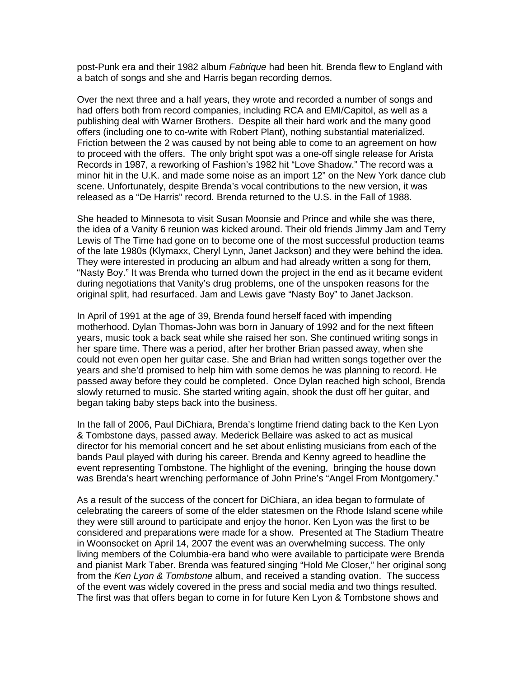post-Punk era and their 1982 album *Fabrique* had been hit. Brenda flew to England with a batch of songs and she and Harris began recording demos.

Over the next three and a half years, they wrote and recorded a number of songs and had offers both from record companies, including RCA and EMI/Capitol, as well as a publishing deal with Warner Brothers. Despite all their hard work and the many good offers (including one to co-write with Robert Plant), nothing substantial materialized. Friction between the 2 was caused by not being able to come to an agreement on how to proceed with the offers. The only bright spot was a one-off single release for Arista Records in 1987, a reworking of Fashion's 1982 hit "Love Shadow." The record was a minor hit in the U.K. and made some noise as an import 12" on the New York dance club scene. Unfortunately, despite Brenda's vocal contributions to the new version, it was released as a "De Harris" record. Brenda returned to the U.S. in the Fall of 1988.

She headed to Minnesota to visit Susan Moonsie and Prince and while she was there, the idea of a Vanity 6 reunion was kicked around. Their old friends Jimmy Jam and Terry Lewis of The Time had gone on to become one of the most successful production teams of the late 1980s (Klymaxx, Cheryl Lynn, Janet Jackson) and they were behind the idea. They were interested in producing an album and had already written a song for them, "Nasty Boy." It was Brenda who turned down the project in the end as it became evident during negotiations that Vanity's drug problems, one of the unspoken reasons for the original split, had resurfaced. Jam and Lewis gave "Nasty Boy" to Janet Jackson.

In April of 1991 at the age of 39, Brenda found herself faced with impending motherhood. Dylan Thomas-John was born in January of 1992 and for the next fifteen years, music took a back seat while she raised her son. She continued writing songs in her spare time. There was a period, after her brother Brian passed away, when she could not even open her guitar case. She and Brian had written songs together over the years and she'd promised to help him with some demos he was planning to record. He passed away before they could be completed. Once Dylan reached high school, Brenda slowly returned to music. She started writing again, shook the dust off her guitar, and began taking baby steps back into the business.

In the fall of 2006, Paul DiChiara, Brenda's longtime friend dating back to the Ken Lyon & Tombstone days, passed away. Mederick Bellaire was asked to act as musical director for his memorial concert and he set about enlisting musicians from each of the bands Paul played with during his career. Brenda and Kenny agreed to headline the event representing Tombstone. The highlight of the evening, bringing the house down was Brenda's heart wrenching performance of John Prine's "Angel From Montgomery."

As a result of the success of the concert for DiChiara, an idea began to formulate of celebrating the careers of some of the elder statesmen on the Rhode Island scene while they were still around to participate and enjoy the honor. Ken Lyon was the first to be considered and preparations were made for a show. Presented at The Stadium Theatre in Woonsocket on April 14, 2007 the event was an overwhelming success. The only living members of the Columbia-era band who were available to participate were Brenda and pianist Mark Taber. Brenda was featured singing "Hold Me Closer," her original song from the *Ken Lyon & Tombstone* album, and received a standing ovation. The success of the event was widely covered in the press and social media and two things resulted. The first was that offers began to come in for future Ken Lyon & Tombstone shows and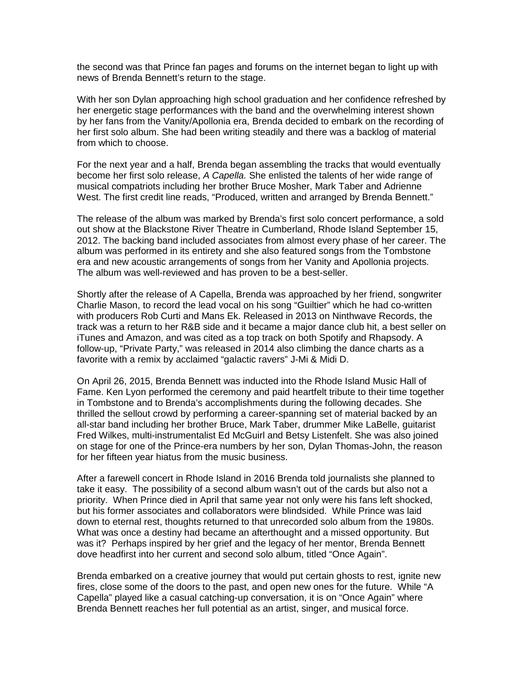the second was that Prince fan pages and forums on the internet began to light up with news of Brenda Bennett's return to the stage.

With her son Dylan approaching high school graduation and her confidence refreshed by her energetic stage performances with the band and the overwhelming interest shown by her fans from the Vanity/Apollonia era, Brenda decided to embark on the recording of her first solo album. She had been writing steadily and there was a backlog of material from which to choose.

For the next year and a half, Brenda began assembling the tracks that would eventually become her first solo release, *A Capella.* She enlisted the talents of her wide range of musical compatriots including her brother Bruce Mosher, Mark Taber and Adrienne West. The first credit line reads, "Produced, written and arranged by Brenda Bennett."

The release of the album was marked by Brenda's first solo concert performance, a sold out show at the Blackstone River Theatre in Cumberland, Rhode Island September 15, 2012. The backing band included associates from almost every phase of her career. The album was performed in its entirety and she also featured songs from the Tombstone era and new acoustic arrangements of songs from her Vanity and Apollonia projects. The album was well-reviewed and has proven to be a best-seller.

Shortly after the release of A Capella, Brenda was approached by her friend, songwriter Charlie Mason, to record the lead vocal on his song "Guiltier" which he had co-written with producers Rob Curti and Mans Ek. Released in 2013 on Ninthwave Records, the track was a return to her R&B side and it became a major dance club hit, a best seller on iTunes and Amazon, and was cited as a top track on both Spotify and Rhapsody. A follow-up, "Private Party," was released in 2014 also climbing the dance charts as a favorite with a remix by acclaimed "galactic ravers" J-Mi & Midi D.

On April 26, 2015, Brenda Bennett was inducted into the Rhode Island Music Hall of Fame. Ken Lyon performed the ceremony and paid heartfelt tribute to their time together in Tombstone and to Brenda's accomplishments during the following decades. She thrilled the sellout crowd by performing a career-spanning set of material backed by an all-star band including her brother Bruce, Mark Taber, drummer Mike LaBelle, guitarist Fred Wilkes, multi-instrumentalist Ed McGuirl and Betsy Listenfelt. She was also joined on stage for one of the Prince-era numbers by her son, Dylan Thomas-John, the reason for her fifteen year hiatus from the music business.

After a farewell concert in Rhode Island in 2016 Brenda told journalists she planned to take it easy. The possibility of a second album wasn't out of the cards but also not a priority. When Prince died in April that same year not only were his fans left shocked, but his former associates and collaborators were blindsided. While Prince was laid down to eternal rest, thoughts returned to that unrecorded solo album from the 1980s. What was once a destiny had became an afterthought and a missed opportunity. But was it? Perhaps inspired by her grief and the legacy of her mentor, Brenda Bennett dove headfirst into her current and second solo album, titled "Once Again".

Brenda embarked on a creative journey that would put certain ghosts to rest, ignite new fires, close some of the doors to the past, and open new ones for the future. While "A Capella" played like a casual catching-up conversation, it is on "Once Again" where Brenda Bennett reaches her full potential as an artist, singer, and musical force.